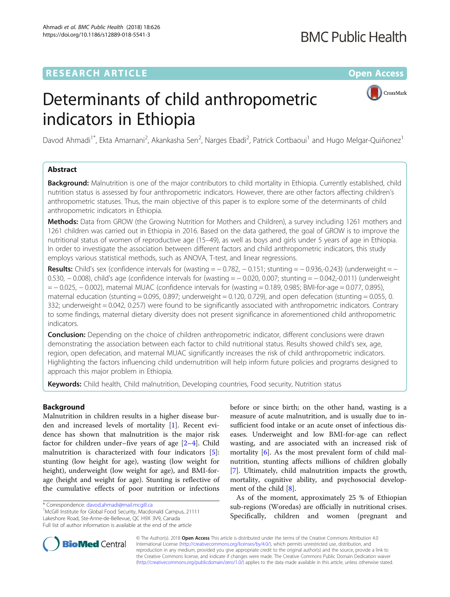## **RESEARCH ARTICLE External Structure Community Community Community Community Community Community Community Community**

# CrossMark

## Determinants of child anthropometric indicators in Ethiopia

Davod Ahmadi<sup>1\*</sup>, Ekta Amarnani<sup>2</sup>, Akankasha Sen<sup>2</sup>, Narges Ebadi<sup>2</sup>, Patrick Cortbaoui<sup>1</sup> and Hugo Melgar-Quiñonez<sup>1</sup>

## Abstract

Background: Malnutrition is one of the major contributors to child mortality in Ethiopia. Currently established, child nutrition status is assessed by four anthropometric indicators. However, there are other factors affecting children's anthropometric statuses. Thus, the main objective of this paper is to explore some of the determinants of child anthropometric indicators in Ethiopia.

Methods: Data from GROW (the Growing Nutrition for Mothers and Children), a survey including 1261 mothers and 1261 children was carried out in Ethiopia in 2016. Based on the data gathered, the goal of GROW is to improve the nutritional status of women of reproductive age (15–49), as well as boys and girls under 5 years of age in Ethiopia. In order to investigate the association between different factors and child anthropometric indicators, this study employs various statistical methods, such as ANOVA, T-test, and linear regressions.

Results: Child's sex (confidence intervals for (wasting =  $-0.782$ ,  $-0.151$ ; stunting =  $-0.936$ , $-0.243$ ) (underweight =  $-$ 0.530, − 0.008), child's age (confidence intervals for (wasting = − 0.020, 0.007; stunting = − 0.042,-0.011) (underweight = − 0.025, − 0.002), maternal MUAC (confidence intervals for (wasting = 0.189, 0.985; BMI-for-age = 0.077, 0.895), maternal education (stunting  $= 0.095$ , 0.897; underweight  $= 0.120$ , 0.729), and open defecation (stunting  $= 0.055$ , 0. 332; underweight = 0.042, 0.257) were found to be significantly associated with anthropometric indicators. Contrary to some findings, maternal dietary diversity does not present significance in aforementioned child anthropometric indicators.

**Conclusion:** Depending on the choice of children anthropometric indicator, different conclusions were drawn demonstrating the association between each factor to child nutritional status. Results showed child's sex, age, region, open defecation, and maternal MUAC significantly increases the risk of child anthropometric indicators. Highlighting the factors influencing child undernutrition will help inform future policies and programs designed to approach this major problem in Ethiopia.

Keywords: Child health, Child malnutrition, Developing countries, Food security, Nutrition status

## Background

Malnutrition in children results in a higher disease burden and increased levels of mortality [[1\]](#page-7-0). Recent evidence has shown that malnutrition is the major risk factor for children under–five years of age [\[2](#page-7-0)–[4\]](#page-7-0). Child malnutrition is characterized with four indicators [\[5](#page-7-0)]: stunting (low height for age), wasting (low weight for height), underweight (low weight for age), and BMI-forage (height and weight for age). Stunting is reflective of the cumulative effects of poor nutrition or infections

<sup>1</sup>McGill Institute for Global Food Security, Macdonald Campus, 21111 Lakeshore Road, Ste-Anne-de-Bellevue, QC H9X 3V9, Canada Full list of author information is available at the end of the article

before or since birth; on the other hand, wasting is a measure of acute malnutrition, and is usually due to insufficient food intake or an acute onset of infectious diseases. Underweight and low BMI-for-age can reflect wasting, and are associated with an increased risk of mortality [[6\]](#page-7-0). As the most prevalent form of child malnutrition, stunting affects millions of children globally [[7\]](#page-7-0). Ultimately, child malnutrition impacts the growth, mortality, cognitive ability, and psychosocial development of the child [[8\]](#page-7-0).

As of the moment, approximately 25 % of Ethiopian sub-regions (Woredas) are officially in nutritional crises. Specifically, children and women (pregnant and



© The Author(s). 2018 Open Access This article is distributed under the terms of the Creative Commons Attribution 4.0 International License [\(http://creativecommons.org/licenses/by/4.0/](http://creativecommons.org/licenses/by/4.0/)), which permits unrestricted use, distribution, and reproduction in any medium, provided you give appropriate credit to the original author(s) and the source, provide a link to the Creative Commons license, and indicate if changes were made. The Creative Commons Public Domain Dedication waiver [\(http://creativecommons.org/publicdomain/zero/1.0/](http://creativecommons.org/publicdomain/zero/1.0/)) applies to the data made available in this article, unless otherwise stated.

<sup>\*</sup> Correspondence: [davod.ahmadi@mail.mcgill.ca](mailto:davod.ahmadi@mail.mcgill.ca) <sup>1</sup>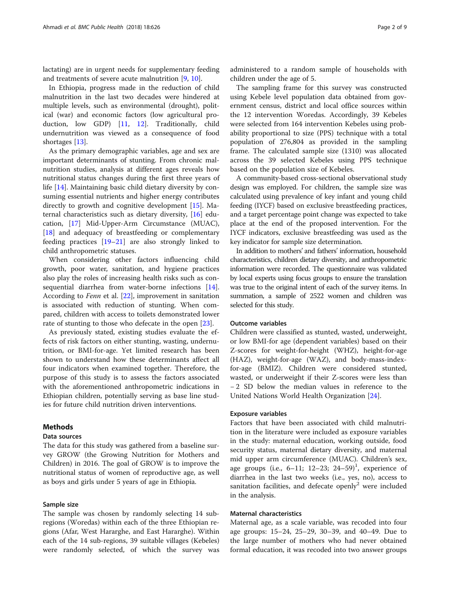lactating) are in urgent needs for supplementary feeding and treatments of severe acute malnutrition [[9,](#page-7-0) [10\]](#page-7-0).

In Ethiopia, progress made in the reduction of child malnutrition in the last two decades were hindered at multiple levels, such as environmental (drought), political (war) and economic factors (low agricultural production, low GDP) [[11,](#page-7-0) [12](#page-7-0)]. Traditionally, child undernutrition was viewed as a consequence of food shortages [\[13\]](#page-7-0).

As the primary demographic variables, age and sex are important determinants of stunting. From chronic malnutrition studies, analysis at different ages reveals how nutritional status changes during the first three years of life [\[14\]](#page-7-0). Maintaining basic child dietary diversity by consuming essential nutrients and higher energy contributes directly to growth and cognitive development [[15](#page-7-0)]. Maternal characteristics such as dietary diversity, [\[16](#page-7-0)] education, [[17\]](#page-7-0) Mid-Upper-Arm Circumstance (MUAC), [[18\]](#page-7-0) and adequacy of breastfeeding or complementary feeding practices  $[19-21]$  $[19-21]$  $[19-21]$  are also strongly linked to child anthropometric statuses.

When considering other factors influencing child growth, poor water, sanitation, and hygiene practices also play the roles of increasing health risks such as consequential diarrhea from water-borne infections [\[14](#page-7-0)]. According to Fenn et al. [\[22\]](#page-8-0), improvement in sanitation is associated with reduction of stunting. When compared, children with access to toilets demonstrated lower rate of stunting to those who defecate in the open [\[23\]](#page-8-0).

As previously stated, existing studies evaluate the effects of risk factors on either stunting, wasting, undernutrition, or BMI-for-age. Yet limited research has been shown to understand how these determinants affect all four indicators when examined together. Therefore, the purpose of this study is to assess the factors associated with the aforementioned anthropometric indications in Ethiopian children, potentially serving as base line studies for future child nutrition driven interventions.

## **Methods**

## Data sources

The data for this study was gathered from a baseline survey GROW (the Growing Nutrition for Mothers and Children) in 2016. The goal of GROW is to improve the nutritional status of women of reproductive age, as well as boys and girls under 5 years of age in Ethiopia.

#### Sample size

The sample was chosen by randomly selecting 14 subregions (Woredas) within each of the three Ethiopian regions (Afar, West Hararghe, and East Hararghe). Within each of the 14 sub-regions, 39 suitable villages (Kebeles) were randomly selected, of which the survey was

administered to a random sample of households with children under the age of 5.

The sampling frame for this survey was constructed using Kebele level population data obtained from government census, district and local office sources within the 12 intervention Woredas. Accordingly, 39 Kebeles were selected from 164 intervention Kebeles using probability proportional to size (PPS) technique with a total population of 276,804 as provided in the sampling frame. The calculated sample size (1310) was allocated across the 39 selected Kebeles using PPS technique based on the population size of Kebeles.

A community-based cross-sectional observational study design was employed. For children, the sample size was calculated using prevalence of key infant and young child feeding (IYCF) based on exclusive breastfeeding practices, and a target percentage point change was expected to take place at the end of the proposed intervention. For the IYCF indicators, exclusive breastfeeding was used as the key indicator for sample size determination.

In addition to mothers' and fathers' information, household characteristics, children dietary diversity, and anthropometric information were recorded. The questionnaire was validated by local experts using focus groups to ensure the translation was true to the original intent of each of the survey items. In summation, a sample of 2522 women and children was selected for this study.

## Outcome variables

Children were classified as stunted, wasted, underweight, or low BMI-for age (dependent variables) based on their Z-scores for weight-for-height (WHZ), height-for-age (HAZ), weight-for-age (WAZ), and body-mass-indexfor-age (BMIZ). Children were considered stunted, wasted, or underweight if their Z-scores were less than − 2 SD below the median values in reference to the United Nations World Health Organization [[24\]](#page-8-0).

### Exposure variables

Factors that have been associated with child malnutrition in the literature were included as exposure variables in the study: maternal education, working outside, food security status, maternal dietary diversity, and maternal mid upper arm circumference (MUAC). Children's sex, age groups (i.e.,  $6-11$ ;  $12-23$ ;  $24-59$ )<sup>1</sup>, experience of diarrhea in the last two weeks (i.e., yes, no), access to sanitation facilities, and defecate openly<sup>2</sup> were included in the analysis.

## Maternal characteristics

Maternal age, as a scale variable, was recoded into four age groups: 15–24, 25–29, 30–39, and 40–49. Due to the large number of mothers who had never obtained formal education, it was recoded into two answer groups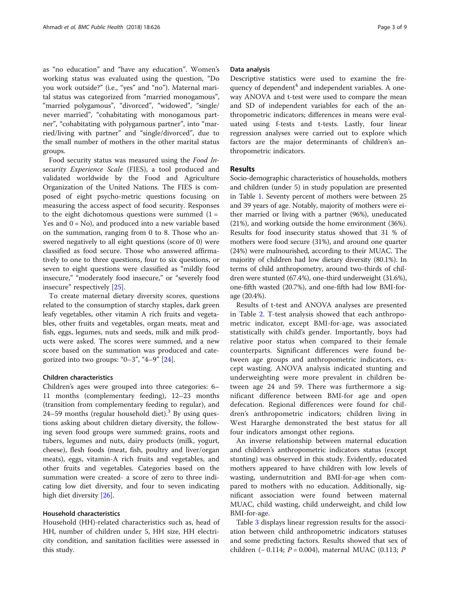as "no education" and "have any education". Women's working status was evaluated using the question, "Do you work outside?" (i.e., "yes" and "no"). Maternal marital status was categorized from "married monogamous", "married polygamous", "divorced", "widowed", "single/ never married", "cohabitating with monogamous partner", "cohabitating with polygamous partner", into "married/living with partner" and "single/divorced", due to the small number of mothers in the other marital status groups.

Food security status was measured using the Food Insecurity Experience Scale (FIES), a tool produced and validated worldwide by the Food and Agriculture Organization of the United Nations. The FIES is composed of eight psycho-metric questions focusing on measuring the access aspect of food security. Responses to the eight dichotomous questions were summed  $(1 =$ Yes and  $0 = No$ ), and produced into a new variable based on the summation, ranging from 0 to 8. Those who answered negatively to all eight questions (score of 0) were classified as food secure. Those who answered affirmatively to one to three questions, four to six questions, or seven to eight questions were classified as "mildly food insecure," "moderately food insecure," or "severely food insecure" respectively [[25\]](#page-8-0).

To create maternal dietary diversity scores, questions related to the consumption of starchy staples, dark green leafy vegetables, other vitamin A rich fruits and vegetables, other fruits and vegetables, organ meats, meat and fish, eggs, legumes, nuts and seeds, milk and milk products were asked. The scores were summed, and a new score based on the summation was produced and categorized into two groups: "0–3", "4–9" [[24\]](#page-8-0).

#### Children characteristics

Children's ages were grouped into three categories: 6– 11 months (complementary feeding), 12–23 months (transition from complementary feeding to regular), and  $24-59$  months (regular household diet).<sup>3</sup> By using questions asking about children dietary diversity, the following seven food groups were summed: grains, roots and tubers, legumes and nuts, dairy products (milk, yogurt, cheese), flesh foods (meat, fish, poultry and liver/organ meats), eggs, vitamin-A rich fruits and vegetables, and other fruits and vegetables. Categories based on the summation were created- a score of zero to three indicating low diet diversity, and four to seven indicating high diet diversity [\[26\]](#page-8-0).

## Household characteristics

Household (HH)-related characteristics such as, head of HH, number of children under 5, HH size, HH electricity condition, and sanitation facilities were assessed in this study.

#### Data analysis

Descriptive statistics were used to examine the frequency of dependent $4$  and independent variables. A oneway ANOVA and t-test were used to compare the mean and SD of independent variables for each of the anthropometric indicators; differences in means were evaluated using f-tests and t-tests. Lastly, four linear regression analyses were carried out to explore which factors are the major determinants of children's anthropometric indicators.

## Results

Socio-demographic characteristics of households, mothers and children (under 5) in study population are presented in Table [1.](#page-3-0) Seventy percent of mothers were between 25 and 39 years of age. Notably, majority of mothers were either married or living with a partner (96%), uneducated (21%), and working outside the home environment (36%). Results for food insecurity status showed that 31 % of mothers were food secure (31%), and around one quarter (24%) were malnourished, according to their MUAC. The majority of children had low dietary diversity (80.1%). In terms of child anthropometry, around two-thirds of children were stunted (67.4%), one-third underweight (31.6%), one-fifth wasted (20.7%), and one-fifth had low BMI-forage (20.4%).

Results of t-test and ANOVA analyses are presented in Table [2](#page-4-0). T-test analysis showed that each anthropometric indicator, except BMI-for-age, was associated statistically with child's gender. Importantly, boys had relative poor status when compared to their female counterparts. Significant differences were found between age groups and anthropometric indicators, except wasting. ANOVA analysis indicated stunting and underweighting were more prevalent in children between age 24 and 59. There was furthermore a significant difference between BMI-for age and open defecation. Regional differences were found for children's anthropometric indicators; children living in West Hararghe demonstrated the best status for all four indicators amongst other regions.

An inverse relationship between maternal education and children's anthropometric indicators status (except stunting) was observed in this study. Evidently, educated mothers appeared to have children with low levels of wasting, undernutrition and BMI-for-age when compared to mothers with no education. Additionally, significant association were found between maternal MUAC, child wasting, child underweight, and child low BMI-for-age.

Table [3](#page-5-0) displays linear regression results for the association between child anthropometric indicators statuses and some predicting factors. Results showed that sex of children (− 0.114; *P* = 0.004), maternal MUAC (0.113; *P*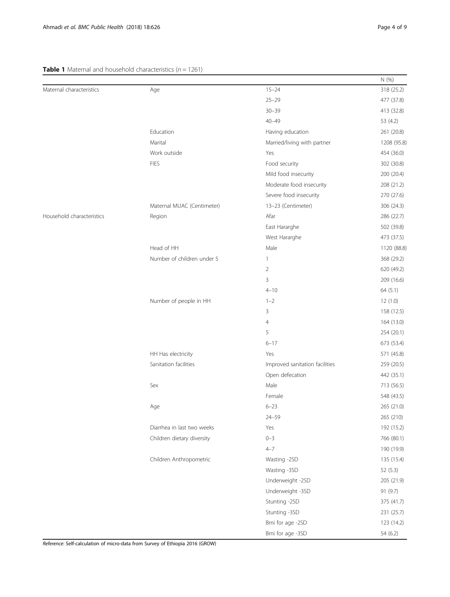## <span id="page-3-0"></span>**Table 1** Maternal and household characteristics  $(n = 1261)$

|                           |                            |                                | N (%)       |
|---------------------------|----------------------------|--------------------------------|-------------|
| Maternal characteristics  | Age                        | $15 - 24$                      | 318 (25.2)  |
|                           |                            | $25 - 29$                      | 477 (37.8)  |
|                           |                            | $30 - 39$                      | 413 (32.8)  |
|                           |                            | $40 - 49$                      | 53 (4.2)    |
|                           | Education                  | Having education               | 261 (20.8)  |
|                           | Marital                    | Married/living with partner    | 1208 (95.8) |
|                           | Work outside               | Yes                            | 454 (36.0)  |
|                           | <b>FIES</b>                | Food security                  | 302 (30.8)  |
|                           |                            | Mild food insecurity           | 200 (20.4)  |
|                           |                            | Moderate food insecurity       | 208 (21.2)  |
|                           |                            | Severe food insecurity         | 270 (27.6)  |
|                           | Maternal MUAC (Centimeter) | 13-23 (Centimeter)             | 306 (24.3)  |
| Household characteristics | Region                     | Afar                           | 286 (22.7)  |
|                           |                            | East Hararghe                  | 502 (39.8)  |
|                           |                            | West Hararghe                  | 473 (37.5)  |
|                           | Head of HH                 | Male                           | 1120 (88.8) |
|                           | Number of children under 5 | $\mathbf{1}$                   | 368 (29.2)  |
|                           |                            | $\overline{2}$                 | 620 (49.2)  |
|                           |                            | 3                              | 209 (16.6)  |
|                           |                            | $4 - 10$                       | 64(5.1)     |
|                           | Number of people in HH     | $1 - 2$                        | 12(1.0)     |
|                           |                            | 3                              | 158 (12.5)  |
|                           |                            | $\overline{4}$                 | 164 (13.0)  |
|                           |                            | 5                              | 254 (20.1)  |
|                           |                            | $6 - 17$                       | 673 (53.4)  |
|                           | HH Has electricity         | Yes                            | 571 (45.8)  |
|                           | Sanitation facilities      | Improved sanitation facilities | 259 (20.5)  |
|                           |                            | Open defecation                | 442 (35.1)  |
|                           | Sex                        | Male                           | 713 (56.5)  |
|                           |                            | Female                         | 548 (43.5)  |
|                           | Age                        | $6 - 23$                       | 265 (21.0)  |
|                           |                            | $24 - 59$                      | 265 (210)   |
|                           | Diarrhea in last two weeks | Yes                            | 192 (15.2)  |
|                           | Children dietary diversity | $0 - 3$                        | 766 (80.1)  |
|                           |                            | $4 - 7$                        | 190 (19.9)  |
|                           | Children Anthropometric    | Wasting -2SD                   | 135 (15.4)  |
|                           |                            | Wasting -3SD                   | 52 (5.3)    |
|                           |                            | Underweight -2SD               | 205 (21.9)  |
|                           |                            | Underweight -3SD               | 91 (9.7)    |
|                           |                            | Stunting -2SD                  | 375 (41.7)  |
|                           |                            | Stunting -3SD                  | 231 (25.7)  |
|                           |                            | Bmi for age -2SD               | 123 (14.2)  |
|                           |                            | Bmi for age -3SD               | 54 (6.2)    |

Reference: Self-calculation of micro-data from Survey of Ethiopia 2016 (GROW)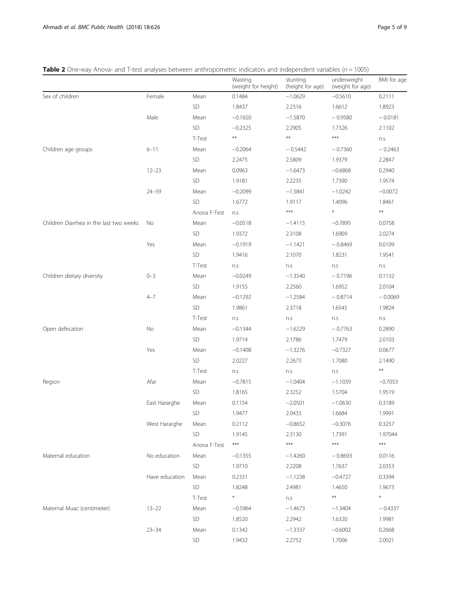<span id="page-4-0"></span>

|  |  | <b>Table 2</b> One-way Anova- and T-test analyses between anthropometric indicators and independent variables ( $n = 1005$ ) |  |  |  |  |
|--|--|------------------------------------------------------------------------------------------------------------------------------|--|--|--|--|
|  |  |                                                                                                                              |  |  |  |  |

|                                         |                |              | Wasting<br>(weight for height) | stunting<br>(height for age) | underweight<br>(weight for age) | BMI for age |
|-----------------------------------------|----------------|--------------|--------------------------------|------------------------------|---------------------------------|-------------|
| Sex of children                         | Female         | Mean         | 0.1484                         | $-1.0629$                    | $-0.5610$                       | 0.2111      |
|                                         |                | SD           | 1.8437                         | 2.2316                       | 1.6612                          | 1.8923      |
|                                         | Male           | Mean         | $-0.1650$                      | $-1.5870$                    | $-0.9580$                       | $-0.0181$   |
|                                         |                | SD           | $-0.2325$                      | 2.2905                       | 1.7326                          | 2.1102      |
|                                         |                | T-Test       | $**$                           | **                           | $***$                           | n.s         |
| Children age groups                     | $6 - 11$       | Mean         | $-0.2064$                      | $-0.5442$                    | $-0.7360$                       | $-0.2463$   |
|                                         |                | SD           | 2.2475                         | 2.5809                       | 1.9379                          | 2.2847      |
|                                         | $12 - 23$      | Mean         | 0.0963                         | $-1.6473$                    | $-0.6868$                       | 0.2940      |
|                                         |                | SD           | 1.9181                         | 2.2235                       | 1.7390                          | 1.9574      |
|                                         | $24 - 59$      | Mean         | $-0.2099$                      | $-1.5841$                    | $-1.0242$                       | $-0.0072$   |
|                                         |                | SD           | 1.6772                         | 1.9117                       | 1.4096                          | 1.8461      |
|                                         |                | Anova F-Test | n.s                            | $***$                        | $\ast$                          | $**$        |
| Children Diarrhea in the last two weeks | No             | Mean         | $-0.0518$                      | $-1.4115$                    | $-0.7895$                       | 0.0758      |
|                                         |                | SD           | 1.9372                         | 2.3108                       | 1.6909                          | 2.0274      |
|                                         | Yes            | Mean         | $-0.1919$                      | $-1.1421$                    | $-0.8469$                       | 0.0109      |
|                                         |                | SD           | 1.9416                         | 2.1070                       | 1.8231                          | 1.9541      |
|                                         |                | T-Test       | n.s                            | n.s                          | n.s                             | n.s         |
| Children dietary diversity              | $0 - 3$        | Mean         | $-0.0249$                      | $-1.3540$                    | $-0.7196$                       | 0.1132      |
|                                         |                | SD           | 1.9155                         | 2.2560                       | 1.6952                          | 2.0104      |
|                                         | $4 - 7$        | Mean         | $-0.1292$                      | $-1.2584$                    | $-0.8714$                       | $-0.0069$   |
|                                         |                | SD           | 1.9861                         | 2.3718                       | 1.6545                          | 1.9824      |
|                                         |                | T-Test       | n.s                            | n.s                          | n.s                             | n.s         |
| Open defecation                         | No             | Mean         | $-0.1344$                      | $-1.6229$                    | $-0.7763$                       | 0.2890      |
|                                         |                | SD           | 1.9714                         | 2.1786                       | 1.7479                          | 2.0103      |
|                                         | Yes            | Mean         | $-0.1408$                      | $-1.3276$                    | $-0.7327$                       | 0.0677      |
|                                         |                | SD           | 2.0227                         | 2.2673                       | 1.7080                          | 2.1490      |
|                                         |                | T-Test       | n.s                            | n.s                          | n.s                             | $**$        |
| Region                                  | Afar           | Mean         | $-0.7815$                      | $-1.0404$                    | $-1.1039$                       | $-0.7053$   |
|                                         |                | SD           | 1.8165                         | 2.3252                       | 1.5704                          | 1.9519      |
|                                         | East Hararghe  | Mean         | 0.1154                         | $-2.0501$                    | $-1.0630$                       | 0.3189      |
|                                         |                | SD           | 1.9477                         | 2.0433                       | 1.6684                          | 1.9991      |
|                                         | West Hararghe  | Mean         | 0.2112                         | $-0.8652$                    | $-0.3076$                       | 0.3257      |
|                                         |                | SD           | 1.9145                         | 2.3130                       | 1.7391                          | 1.97044     |
|                                         |                | Anova F-Test | $***$                          | ***                          | $***$                           | $***$       |
| Maternal education                      | No education   | Mean         | $-0.1355$                      | $-1.4260$                    | $-0.8693$                       | 0.0116      |
|                                         |                | SD           | 1.9710                         | 2.2208                       | 1.7637                          | 2.0353      |
|                                         | Have education | Mean         | 0.2331                         | $-1.1238$                    | $-0.4727$                       | 0.3394      |
|                                         |                | SD           | 1.8248                         | 2.4981                       | 1.4650                          | 1.9673      |
|                                         |                | T-Test       | $\ast$                         | n.s                          | $***$                           | $\ast$      |
| Maternal Muac (centimeter)              | $13 - 22$      | Mean         | $-0.5964$                      | $-1.4673$                    | $-1.3404$                       | $-0.4337$   |
|                                         |                | SD           | 1.8520                         | 2.2942                       | 1.6320                          | 1.9981      |
|                                         | $23 - 34$      | Mean         | 0.1342                         | $-1.3337$                    | $-0.6002$                       | 0.2668      |
|                                         |                | SD           | 1.9432                         | 2.2752                       | 1.7006                          | 2.0021      |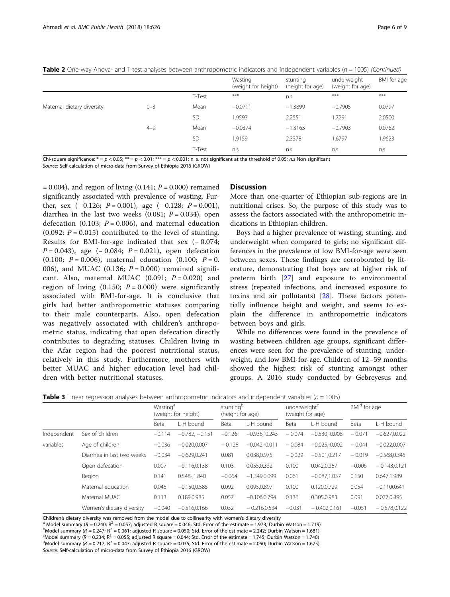<span id="page-5-0"></span>

| Table 2 One-way Anova- and T-test analyses between anthropometric indicators and independent variables (n = 1005) (Continued) |  |  |
|-------------------------------------------------------------------------------------------------------------------------------|--|--|
|                                                                                                                               |  |  |

|                            |         |           | Wasting<br>(weight for height) | stunting<br>(height for age) | underweight<br>(weight for age) | BMI for age |
|----------------------------|---------|-----------|--------------------------------|------------------------------|---------------------------------|-------------|
|                            |         | T-Test    | $***$                          | n.s                          | $***$                           | $***$       |
| Maternal dietary diversity | $0 - 3$ | Mean      | $-0.0711$                      | $-1.3899$                    | $-0.7905$                       | 0.0797      |
|                            |         | <b>SD</b> | 1.9593                         | 2.2551                       | 1.7291                          | 2.0500      |
|                            | $4 - 9$ | Mean      | $-0.0374$                      | $-1.3163$                    | $-0.7903$                       | 0.0762      |
|                            |         | <b>SD</b> | 1.9159                         | 2.3378                       | 1.6797                          | 1.9623      |
|                            |         | T-Test    | n.S                            | n.S                          | n.s                             | n.s         |
|                            |         |           |                                |                              |                                 |             |

Chi-square significance:  $* = p < 0.05$ ;  $** = p < 0.01$ ;  $*** = p < 0.001$ ; n. s. not significant at the threshold of 0.05; n.s Non significant

Source: Self-calculation of micro-data from Survey of Ethiopia 2016 (GROW)

 $= 0.004$ ), and region of living (0.141;  $P = 0.000$ ) remained significantly associated with prevalence of wasting. Further, sex  $(-0.126; P = 0.001)$ , age  $(-0.128; P = 0.001)$ , diarrhea in the last two weeks  $(0.081; P = 0.034)$ , open defecation (0.103;  $P = 0.006$ ), and maternal education (0.092;  $P = 0.015$ ) contributed to the level of stunting. Results for BMI-for-age indicated that sex (− 0.074;  $P = 0.043$ ), age  $(-0.084; P = 0.021)$ , open defecation (0.100;  $P = 0.006$ ), maternal education (0.100;  $P = 0$ . 006), and MUAC (0.136;  $P = 0.000$ ) remained significant. Also, maternal MUAC  $(0.091; P = 0.020)$  and region of living  $(0.150; P = 0.000)$  were significantly associated with BMI-for-age. It is conclusive that girls had better anthropometric statuses comparing to their male counterparts. Also, open defecation was negatively associated with children's anthropometric status, indicating that open defecation directly contributes to degrading statuses. Children living in the Afar region had the poorest nutritional status, relatively in this study. Furthermore, mothers with better MUAC and higher education level had children with better nutritional statuses.

## Discussion

More than one-quarter of Ethiopian sub-regions are in nutritional crises. So, the purpose of this study was to assess the factors associated with the anthropometric indications in Ethiopian children.

Boys had a higher prevalence of wasting, stunting, and underweight when compared to girls; no significant differences in the prevalence of low BMI-for-age were seen between sexes. These findings are corroborated by literature, demonstrating that boys are at higher risk of preterm birth [[27\]](#page-8-0) and exposure to environmental stress (repeated infections, and increased exposure to toxins and air pollutants)  $[28]$  $[28]$ . These factors potentially influence height and weight, and seems to explain the difference in anthropometric indicators between boys and girls.

While no differences were found in the prevalence of wasting between children age groups, significant differences were seen for the prevalence of stunting, underweight, and low BMI-for-age. Children of 12–59 months showed the highest risk of stunting amongst other groups. A 2016 study conducted by Gebreyesus and

|  |  | Table 3 Linear regression analyses between anthropometric indicators and independent variables (n = 1005) |  |  |
|--|--|-----------------------------------------------------------------------------------------------------------|--|--|
|  |  |                                                                                                           |  |  |

|             |                            | Wasting <sup>a</sup><br>(weight for height) |                  | stuntingb<br>(height for age) |                  | underweight <sup>c</sup><br>(weight for age) |                  | BMI <sup>d</sup> for age |                 |
|-------------|----------------------------|---------------------------------------------|------------------|-------------------------------|------------------|----------------------------------------------|------------------|--------------------------|-----------------|
|             |                            | Beta                                        | L-H bound        | Beta                          | L-H bound        | Beta                                         | L-H bound        | Beta                     | L-H bound       |
| Independent | Sex of children            | $-0.114$                                    | $-0.782, -0.151$ | $-0.126$                      | $-0.936 - 0.243$ | $-0.074$                                     | $-0.530 - 0.008$ | $-0.071$                 | $-0.627, 0.022$ |
| variables   | Age of children            | $-0.036$                                    | $-0.020.0.007$   | $-0.128$                      | $-0.042,-0.011$  | $-0.084$                                     | $-0.025,-0.002$  | $-0.041$                 | $-0.022, 0.007$ |
|             | Diarrhea in last two weeks | $-0.034$                                    | $-0.629.0.241$   | 0.081                         | 0.038.0.975      | $-0.029$                                     | $-0.501.0.217$   | $-0.019$                 | $-0.568, 0.345$ |
|             | Open defecation            | 0.007                                       | $-0.116, 0.138$  | 0.103                         | 0.055,0.332      | 0.100                                        | 0.042,0.257      | $-0.006$                 | $-0.143,0.121$  |
|             | Region                     | 0.141                                       | 0.548-.1.840     | $-0.064$                      | $-1.349,0.099$   | 0.061                                        | $-0.087,1.037$   | 0.150                    | 0.647,1.989     |
|             | Maternal education         | 0.045                                       | $-0.150.0.585$   | 0.092                         | 0.095.0.897      | 0.100                                        | 0.120,0.729      | 0.054                    | $-0.1100.641$   |
|             | Maternal MUAC              | 0.113                                       | 0.189.0.985      | 0.057                         | $-0.106.0.794$   | 0.136                                        | 0.305,0.983      | 0.091                    | 0.077.0.895     |
|             | Women's dietary diversity  | $-0.040$                                    | $-0.516.0.166$   | 0.032                         | $-0.216.0.534$   | $-0.031$                                     | $-0.402.0.161$   | $-0.051$                 | $-0.578.0.122$  |

Children's dietary diversity was removed from the model due to collinearity with women's dietary diversity<br><sup>a</sup> Model summary (R = 0.240; R<sup>2</sup> = 0.057; adjusted R square = 0.046; Std. Error of the estimate = 1.973; Durbin

<sup>b</sup>Model summary (R = 0.247; R<sup>2</sup> = 0.061; adjusted R square = 0.050; Std. Error of the estimate = 2.242; Durbin Watson = 1.681)

 $^{\circ}$ Model summary (R = 0.234; R<sup>2</sup> = 0.055; adjusted R square = 0.044; Std. Error of the estimate = 1.745; Durbin Watson = 1.740)

 $^{\text{d}}$ Model summary (R = 0.217; R<sup>2</sup> = 0.047; adjusted R square = 0.035; Std. Error of the estimate = 2.050; Durbin Watson = 1.675) Source: Self-calculation of micro-data from Survey of Ethiopia 2016 (GROW)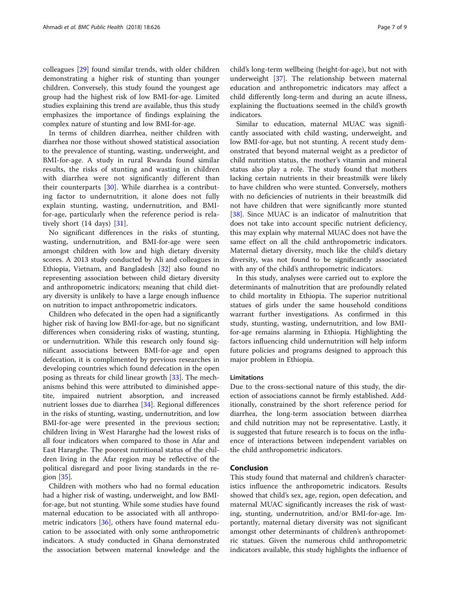colleagues [[29\]](#page-8-0) found similar trends, with older children demonstrating a higher risk of stunting than younger children. Conversely, this study found the youngest age group had the highest risk of low BMI-for-age. Limited studies explaining this trend are available, thus this study emphasizes the importance of findings explaining the complex nature of stunting and low BMI-for-age.

In terms of children diarrhea, neither children with diarrhea nor those without showed statistical association to the prevalence of stunting, wasting, underweight, and BMI-for-age. A study in rural Rwanda found similar results, the risks of stunting and wasting in children with diarrhea were not significantly different than their counterparts [[30\]](#page-8-0). While diarrhea is a contributing factor to undernutrition, it alone does not fully explain stunting, wasting, undernutrition, and BMIfor-age, particularly when the reference period is relatively short (14 days) [[31\]](#page-8-0).

No significant differences in the risks of stunting, wasting, undernutrition, and BMI-for-age were seen amongst children with low and high dietary diversity scores. A 2013 study conducted by Ali and colleagues in Ethiopia, Vietnam, and Bangladesh [[32\]](#page-8-0) also found no representing association between child dietary diversity and anthropometric indicators; meaning that child dietary diversity is unlikely to have a large enough influence on nutrition to impact anthropometric indicators.

Children who defecated in the open had a significantly higher risk of having low BMI-for-age, but no significant differences when considering risks of wasting, stunting, or undernutrition. While this research only found significant associations between BMI-for-age and open defecation, it is complimented by previous researches in developing countries which found defecation in the open posing as threats for child linear growth [\[33](#page-8-0)]. The mechanisms behind this were attributed to diminished appetite, impaired nutrient absorption, and increased nutrient losses due to diarrhea [[34\]](#page-8-0). Regional differences in the risks of stunting, wasting, undernutrition, and low BMI-for-age were presented in the previous section; children living in West Hararghe had the lowest risks of all four indicators when compared to those in Afar and East Hararghe. The poorest nutritional status of the children living in the Afar region may be reflective of the political disregard and poor living standards in the region [[35](#page-8-0)].

Children with mothers who had no formal education had a higher risk of wasting, underweight, and low BMIfor-age, but not stunting. While some studies have found maternal education to be associated with all anthropometric indicators [\[36\]](#page-8-0), others have found maternal education to be associated with only some anthropometric indicators. A study conducted in Ghana demonstrated the association between maternal knowledge and the

child's long-term wellbeing (height-for-age), but not with underweight [[37\]](#page-8-0). The relationship between maternal education and anthropometric indicators may affect a child differently long-term and during an acute illness, explaining the fluctuations seemed in the child's growth indicators.

Similar to education, maternal MUAC was significantly associated with child wasting, underweight, and low BMI-for-age, but not stunting. A recent study demonstrated that beyond maternal weight as a predictor of child nutrition status, the mother's vitamin and mineral status also play a role. The study found that mothers lacking certain nutrients in their breastmilk were likely to have children who were stunted. Conversely, mothers with no deficiencies of nutrients in their breastmilk did not have children that were significantly more stunted [[38\]](#page-8-0). Since MUAC is an indicator of malnutrition that does not take into account specific nutrient deficiency, this may explain why maternal MUAC does not have the same effect on all the child anthropometric indicators. Maternal dietary diversity, much like the child's dietary diversity, was not found to be significantly associated with any of the child's anthropometric indicators.

In this study, analyses were carried out to explore the determinants of malnutrition that are profoundly related to child mortality in Ethiopia. The superior nutritional statues of girls under the same household conditions warrant further investigations. As confirmed in this study, stunting, wasting, undernutrition, and low BMIfor-age remains alarming in Ethiopia. Highlighting the factors influencing child undernutrition will help inform future policies and programs designed to approach this major problem in Ethiopia.

#### Limitations

Due to the cross-sectional nature of this study, the direction of associations cannot be firmly established. Additionally, constrained by the short reference period for diarrhea, the long-term association between diarrhea and child nutrition may not be representative. Lastly, it is suggested that future research is to focus on the influence of interactions between independent variables on the child anthropometric indicators.

## Conclusion

This study found that maternal and children's characteristics influence the anthropometric indicators. Results showed that child's sex, age, region, open defecation, and maternal MUAC significantly increases the risk of wasting, stunting, undernutrition, and/or BMI-for-age. Importantly, maternal dietary diversity was not significant amongst other determinants of children's anthropometric statues. Given the numerous child anthropometric indicators available, this study highlights the influence of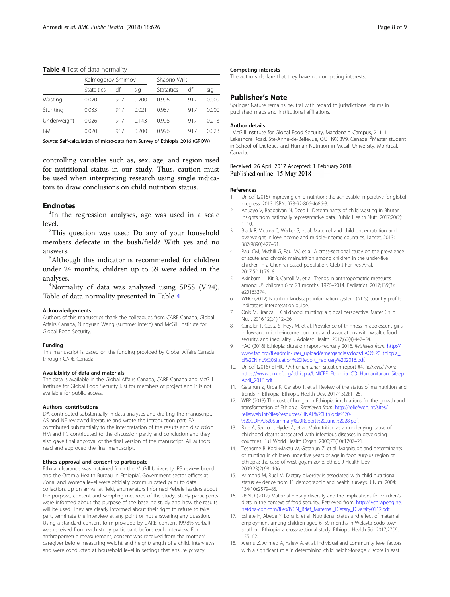<span id="page-7-0"></span>Table 4 Test of data normality

|             | Kolmogorov-Smirnov |     |       | Shaprio-Wilk      |     |       |  |
|-------------|--------------------|-----|-------|-------------------|-----|-------|--|
|             | Stataitics         | df  | sig   | <b>Stataitics</b> | df  | sig   |  |
| Wasting     | 0.020              | 917 | 0.200 | 0.996             | 917 | 0.009 |  |
| Stunting    | 0.033              | 917 | 0021  | 0.987             | 917 | 0.000 |  |
| Underweight | 0.026              | 917 | 0.143 | 0.998             | 917 | 0.213 |  |
| <b>BMI</b>  | 0.020              | 917 | 0.200 | 0.996             | 917 | 0.023 |  |

Source: Self-calculation of micro-data from Survey of Ethiopia 2016 (GROW)

controlling variables such as, sex, age, and region used for nutritional status in our study. Thus, caution must be used when interpreting research using single indicators to draw conclusions on child nutrition status.

## **Endnotes**

 $1$ In the regression analyses, age was used in a scale level. <sup>2</sup>

<sup>2</sup>This question was used: Do any of your household members defecate in the bush/field? With yes and no answers.

<sup>3</sup>Although this indicator is recommended for children under 24 months, children up to 59 were added in the analyses. <sup>4</sup>

<sup>4</sup>Normality of data was analyzed using SPSS (V.24). Table of data normality presented in Table 4.

#### Acknowledgements

Authors of this manuscript thank the colleagues from CARE Canada, Global Affairs Canada, Ningyuan Wang (summer intern) and McGill Institute for Global Food Security.

#### Funding

This manuscript is based on the funding provided by Global Affairs Canada through CARE Canada.

#### Availability of data and materials

The data is available in the Global Affairs Canada, CARE Canada and McGill Institute for Global Food Security just for members of project and it is not available for public access.

#### Authors' contributions

DA contributed substantially in data analyses and drafting the manuscript. AS and NE reviewed literature and wrote the introduction part. EA contributed substantially to the interpretation of the results and discussion. HM and PC contributed to the discussion partly and conclusion and they also gave final approval of the final version of the manuscript. All authors read and approved the final manuscript.

#### Ethics approval and consent to participate

Ethical clearance was obtained from the McGill University IRB review board and the Oromia Health Bureau in Ethiopia'. Government sector offices at Zonal and Woreda level were officially communicated prior to data collection. Up on arrival at field, enumerators informed Kebele leaders about the purpose, content and sampling methods of the study. Study participants were informed about the purpose of the baseline study and how the results will be used. They are clearly informed about their right to refuse to take part, terminate the interview at any point or not answering any question. Using a standard consent form provided by CARE, consent (99.8% verbal) was received from each study participant before each interview. For anthropometric measurement, consent was received from the mother/ caregiver before measuring weight and height/length of a child. Interviews and were conducted at household level in settings that ensure privacy.

#### Competing interests

The authors declare that they have no competing interests.

## Publisher's Note

Springer Nature remains neutral with regard to jurisdictional claims in published maps and institutional affiliations.

#### Author details

<sup>1</sup>McGill Institute for Global Food Security, Macdonald Campus, 21111 Lakeshore Road, Ste-Anne-de-Bellevue, QC H9X 3V9, Canada. <sup>2</sup>Master student in School of Dietetics and Human Nutrition in McGill University, Montreal, Canada.

#### Received: 26 April 2017 Accepted: 1 February 2018 Published online: 15 May 2018

#### References

- 1. Unicef (2015) improving child nutrition: the achievable imperative for global progress. 2013. ISBN: 978-92-806-4686-3.
- 2. Aguayo V, Badgaiyan N, Dzed L. Determinants of child wasting in Bhutan. Insights from nationally representative data. Public Health Nutr. 2017;20(2):  $1 - 10$
- 3. Black R, Victora C, Walker S, et al. Maternal and child undernutrition and overweight in low-income and middle-income countries. Lancet. 2013; 382(9890):427–51.
- 4. Paul CM, Mythili G, Paul VV, et al. A cross-sectional study on the prevalence of acute and chronic malnutrition among children in the under-five children in a Chennai based population. Glob J For Res Anal. 2017;5(11):76–8.
- 5. Akinbami L, Kit B, Carroll M, et al. Trends in anthropometric measures among US children 6 to 23 months, 1976–2014. Pediatrics. 2017;139(3): e20163374.
- 6. WHO (2012) Nutrition landscape information system (NLIS) country profile indicators: interpretation guide.
- 7. Onis M, Branca F. Childhood stunting: a global perspective. Mater Child Nutr. 2016;12(S1):12–26.
- 8. Candler T, Costa S, Heys M, et al. Prevalence of thinness in adolescent girls in low-and middle-income countries and associations with wealth, food security, and inequality. J Adolesc Health. 2017;60(4):447–54.
- FAO (2016) Ethiopia: situation report-February 2016. Retrieved from: [http://](http://www.fao.org/fileadmin/user_upload/emergencies/docs/FAO%20Ethiopia_El%20Nino%20Situation%20Report_February%202016.pdf) [www.fao.org/fileadmin/user\\_upload/emergencies/docs/FAO%20Ethiopia\\_](http://www.fao.org/fileadmin/user_upload/emergencies/docs/FAO%20Ethiopia_El%20Nino%20Situation%20Report_February%202016.pdf) [El%20Nino%20Situation%20Report\\_February%202016.pdf](http://www.fao.org/fileadmin/user_upload/emergencies/docs/FAO%20Ethiopia_El%20Nino%20Situation%20Report_February%202016.pdf).
- 10. Unicef (2016) ETHIOPIA humanitarian situation report #4. Retrieved from: [https://www.unicef.org/ethiopia/UNICEF\\_Ethiopia\\_CO\\_Humanitarian\\_Sitrep\\_](https://www.unicef.org/ethiopia/UNICEF_Ethiopia_CO_Humanitarian_Sitrep_April_2016.pdf) [April\\_2016.pdf.](https://www.unicef.org/ethiopia/UNICEF_Ethiopia_CO_Humanitarian_Sitrep_April_2016.pdf)
- 11. Getahun Z, Urga K, Ganebo T, et al. Review of the status of malnutrition and trends in Ethiopia. Ethiop J Health Dev. 2017;15(2):1–25.
- 12. WFP (2013) The cost of hunger in Ethiopia: implications for the growth and transformation of Ethiopia. Reterieved from: [http://reliefweb.int/sites/](http://reliefweb.int/sites/reliefweb.int/files/resources/FINAL%20Ethiopia%20-%20COHA%20Summary%20Report%20June%2028.pdf) [reliefweb.int/files/resources/FINAL%20Ethiopia%20-](http://reliefweb.int/sites/reliefweb.int/files/resources/FINAL%20Ethiopia%20-%20COHA%20Summary%20Report%20June%2028.pdf) [%20COHA%20Summary%20Report%20June%2028.pdf](http://reliefweb.int/sites/reliefweb.int/files/resources/FINAL%20Ethiopia%20-%20COHA%20Summary%20Report%20June%2028.pdf).
- 13. Rice A, Sacco L, Hyder A, et al. Malnutrition as an underlying cause of childhood deaths associated with infectious diseases in developing countries. Bull World Health Organ. 2000;78(10):1207–21.
- 14. Teshome B, Kogi-Makau W, Getahun Z, et al. Magnitude and determinants of stunting in children underfive years of age in food surplus region of Ethiopia: the case of west gojam zone. Ethiop J Health Dev. 2009;23(2):98–106.
- 15. Arimond M, Ruel M. Dietary diversity is associated with child nutritional status: evidence from 11 demographic and health surveys. J Nutr. 2004; 134(10):2579–85.
- 16. USAID (2012) Maternal dietary diversity and the implications for children's diets in the context of food security. Retrieved from: [http://iycn.wpengine.](http://iycn.wpengine.netdna-cdn.com/files/IYCN_Brief_Maternal_Dietary_Diversity0112.pdf) [netdna-cdn.com/files/IYCN\\_Brief\\_Maternal\\_Dietary\\_Diversity0112.pdf.](http://iycn.wpengine.netdna-cdn.com/files/IYCN_Brief_Maternal_Dietary_Diversity0112.pdf)
- 17. Eshete H, Abebe Y, Loha E, et al. Nutritional status and effect of maternal employment among children aged 6–59 months in Wolayta Sodo town, southern Ethiopia: a cross-sectional study. Ethiop J Health Sci. 2017;27(2): 155–62.
- 18. Alemu Z, Ahmed A, Yalew A, et al. Individual and community level factors with a significant role in determining child height-for-age Z score in east